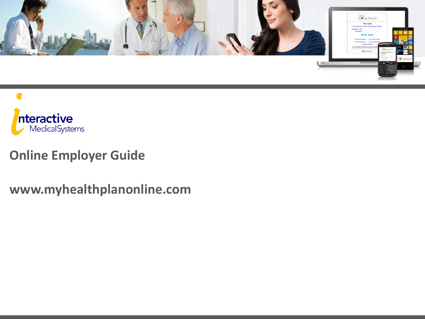



#### **Online Employer Guide**

**www.myhealthplanonline.com**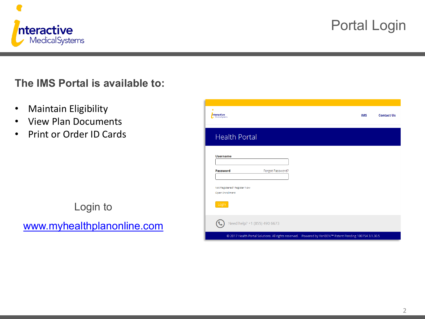

## Portal Login

#### **The IMS Portal is available to:**

- Maintain Eligibility
- View Plan Documents
- Print or Order ID Cards

## Login to [www.myhealthplanonline.com](http://www.myhealthplanonline.com/)

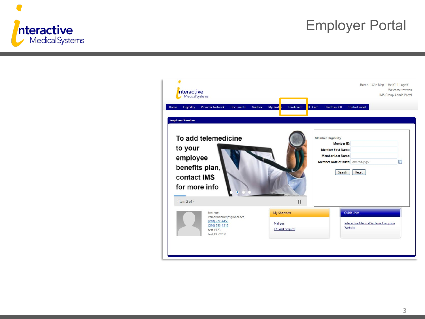

#### Employer Portal

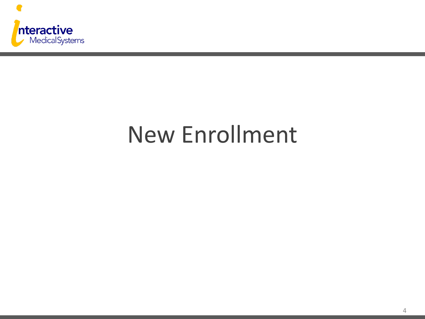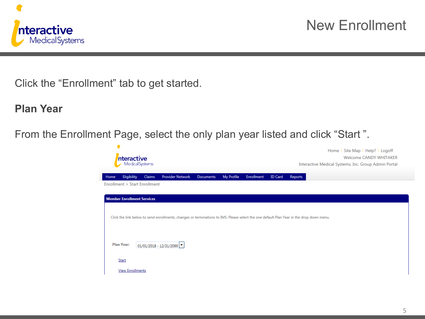

Click the "Enrollment" tab to get started.

**Plan Year**

From the Enrollment Page, select the only plan year listed and click "Start ".

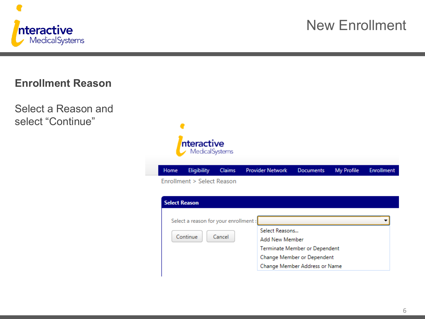

#### **Enrollment Reason**

Select a Reason and select "Continue"

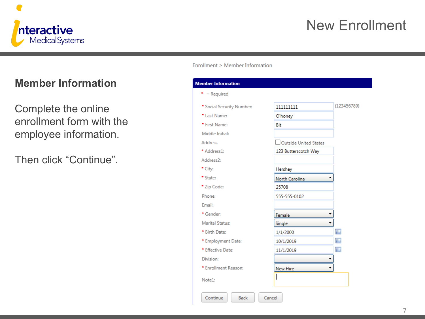

#### **Member Information**

Complete the online enrollment form with the employee information.

Then click "Continue".

Enrollment > Member Information

| <b>Member Information</b> |                              |             |
|---------------------------|------------------------------|-------------|
| $*$ = Required            |                              |             |
| * Social Security Number: | 1111111111                   | (123456789) |
| * Last Name:              | O'honey                      |             |
| * First Name:             | Bit                          |             |
| Middle Initial:           |                              |             |
| Address                   | <b>Outside United States</b> |             |
| * Address1:               | 123 Butterscotch Way         |             |
| Address2:                 |                              |             |
| * City:                   | Hershey                      |             |
| * State:                  | North Carolina               |             |
| * Zip Code:               | 25708                        |             |
| Phone:                    | 555-555-0102                 |             |
| Email:                    |                              |             |
| * Gender:                 | Female                       |             |
| Marital Status:           | Single                       |             |
| * Birth Date:             | 1/1/2000                     | 圃           |
| * Employment Date:        | 10/1/2019                    | 圃           |
| * Effective Date:         | 11/1/2019                    | 圃           |
| Division:                 |                              |             |
| * Enrollment Reason:      | New Hire                     |             |
| Note1:                    |                              |             |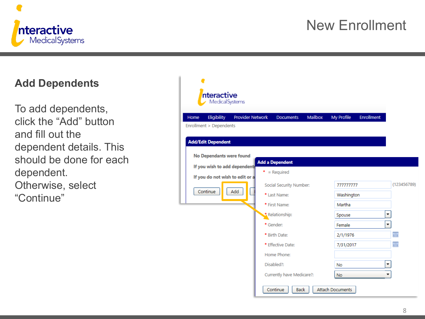

#### **Add Dependents**

To add dependents, click the "Add" button and fill out the dependent details. This should be done for each dependent. Otherwise, select "Continue"

| nteractive                                                                             |                         |                                                        |                |                            |                   |                      |
|----------------------------------------------------------------------------------------|-------------------------|--------------------------------------------------------|----------------|----------------------------|-------------------|----------------------|
| MedicalSystems<br>Eligibility<br>Home<br>Enrollment > Dependents                       | <b>Provider Network</b> | <b>Documents</b>                                       | <b>Mailbox</b> | My Profile                 | <b>Enrollment</b> |                      |
| <b>Add/Edit Dependent</b><br>No Dependants were found<br>If you wish to add dependents |                         | <b>Add a Dependent</b><br>$*$ = Required               |                |                            |                   |                      |
| If you do not wish to edit or a<br>Continue                                            | Add                     | Social Security Number:<br>* Last Name:                |                | 777777777<br>Washington    |                   | (123456789)          |
|                                                                                        |                         | * First Name:<br>* Relationship:<br>* Gender:          |                | Martha<br>Spouse<br>Female |                   | $\blacktriangledown$ |
|                                                                                        |                         | * Birth Date:<br>* Effective Date:                     |                | 2/1/1976<br>7/31/2017      |                   | ⊞<br>圃               |
|                                                                                        |                         | Home Phone:<br>Disabled?:<br>Currently have Medicare?: |                | <b>No</b><br><b>No</b>     |                   | <b>v</b>             |
|                                                                                        |                         | Continue<br><b>Back</b>                                |                | Attach Documents           |                   |                      |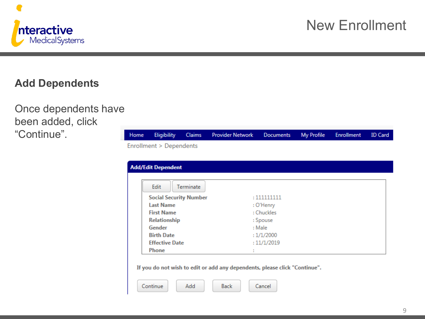

Enrollment

**ID** Card

#### **Add Dependents**

Once dependents have been added, click "Continue".

| 110111C | <b>Linghomey</b>              | <b>Cialitis</b>  | <b>FIGVIDED INCONDITY</b> DOCUMENTS INTERFERING |             | <b>LINOMINGHL</b> | TD Cara |
|---------|-------------------------------|------------------|-------------------------------------------------|-------------|-------------------|---------|
|         | Enrollment > Dependents       |                  |                                                 |             |                   |         |
|         | <b>Add/Edit Dependent</b>     |                  |                                                 |             |                   |         |
|         | Edit                          | <b>Terminate</b> |                                                 |             |                   |         |
|         | <b>Social Security Number</b> |                  |                                                 | : 111111111 |                   |         |
|         | <b>Last Name</b>              |                  |                                                 | : O'Henry   |                   |         |
|         | <b>First Name</b>             |                  |                                                 | : Chuckles  |                   |         |
|         | <b>Relationship</b>           |                  |                                                 | : Spouse    |                   |         |
|         | Gender                        |                  |                                                 | : Male      |                   |         |
|         | <b>Birth Date</b>             |                  |                                                 | :1/1/2000   |                   |         |
|         | <b>Effective Date</b>         |                  |                                                 | :11/1/2019  |                   |         |
|         | <b>Phone</b>                  |                  |                                                 |             |                   |         |

Documents

My Drofile

If you do not wish to edit or add any dependents, please click "Continue".

**Drovider Network** 



**Elimibilit** 

Cla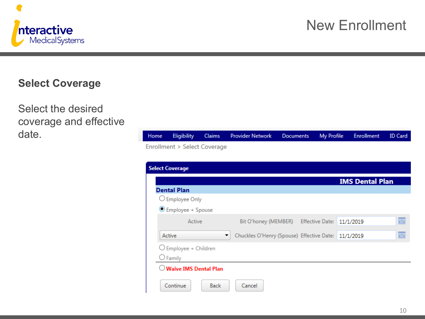

#### **Select Coverage**

Select the desired coverage and effective date.

| Home | <b>Eligibility</b>               | <b>Claims</b> | <b>Provider Network</b>                             | <b>Documents</b> | My Profile | <b>Enrollment</b>      | <b>ID Card</b> |
|------|----------------------------------|---------------|-----------------------------------------------------|------------------|------------|------------------------|----------------|
|      | Enrollment > Select Coverage     |               |                                                     |                  |            |                        |                |
|      |                                  |               |                                                     |                  |            |                        |                |
|      | <b>Select Coverage</b>           |               |                                                     |                  |            |                        |                |
|      |                                  |               |                                                     |                  |            | <b>IMS Dental Plan</b> |                |
|      | <b>Dental Plan</b>               |               |                                                     |                  |            |                        |                |
|      | $\bigcirc$ Employee Only         |               |                                                     |                  |            |                        |                |
|      | C Employee + Spouse              |               |                                                     |                  |            |                        |                |
|      | Active                           |               | Bit O'honey (MEMBER) Effective Date: 11/1/2019      |                  |            |                        | 圃              |
|      | Active                           | ▼             | Chuckles O'Henry (Spouse) Effective Date: 11/1/2019 |                  |            |                        | 圃              |
|      | O Employee + Children            |               |                                                     |                  |            |                        |                |
|      | $\bigcirc$ Family                |               |                                                     |                  |            |                        |                |
|      | $\bigcirc$ Waive IMS Dental Plan |               |                                                     |                  |            |                        |                |
|      | Continue                         | <b>Back</b>   | Cancel                                              |                  |            |                        |                |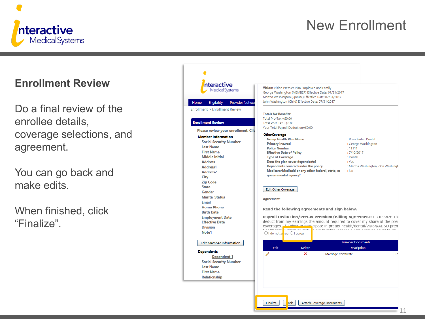



nteractive

MedicalSystems

Do a final review of the enrollee details, coverage selections, and agreement.

You can go back and make edits.

When finished, click "Finalize".

| nteractive<br><b>Medical Systems</b>                                                                                                                                                                                                                                                                                                                                                                                                                                                                                                                                                                                                                       | Vision: Vision Premier Plan Employee and Family<br>George Washington (MEMBER) Effective Date: 07/31/2017<br>Martha Washington (Spouse) Effective Date: 07/31/2017                                                                                                                                                                                                                                                                                                                                                                                                                                                                                                                                                                                                                                                                                                                                                                                                                                                                                                                                                                                                                                                                                                                                                                  |                                                                                                                                                                                             |    |
|------------------------------------------------------------------------------------------------------------------------------------------------------------------------------------------------------------------------------------------------------------------------------------------------------------------------------------------------------------------------------------------------------------------------------------------------------------------------------------------------------------------------------------------------------------------------------------------------------------------------------------------------------------|------------------------------------------------------------------------------------------------------------------------------------------------------------------------------------------------------------------------------------------------------------------------------------------------------------------------------------------------------------------------------------------------------------------------------------------------------------------------------------------------------------------------------------------------------------------------------------------------------------------------------------------------------------------------------------------------------------------------------------------------------------------------------------------------------------------------------------------------------------------------------------------------------------------------------------------------------------------------------------------------------------------------------------------------------------------------------------------------------------------------------------------------------------------------------------------------------------------------------------------------------------------------------------------------------------------------------------|---------------------------------------------------------------------------------------------------------------------------------------------------------------------------------------------|----|
| Eligibility<br><b>Provider Networ</b><br>Home                                                                                                                                                                                                                                                                                                                                                                                                                                                                                                                                                                                                              | John Washington (Child) Effective Date: 07/31/2017                                                                                                                                                                                                                                                                                                                                                                                                                                                                                                                                                                                                                                                                                                                                                                                                                                                                                                                                                                                                                                                                                                                                                                                                                                                                                 |                                                                                                                                                                                             |    |
| Enrollment > Enrollment Review                                                                                                                                                                                                                                                                                                                                                                                                                                                                                                                                                                                                                             |                                                                                                                                                                                                                                                                                                                                                                                                                                                                                                                                                                                                                                                                                                                                                                                                                                                                                                                                                                                                                                                                                                                                                                                                                                                                                                                                    |                                                                                                                                                                                             |    |
| <b>Enrollment Review</b><br>Please review your enrollment. Clic<br><b>Member Information</b><br><b>Social Security Number</b><br><b>Last Name</b><br><b>First Name</b><br><b>Middle Initial</b><br><b>Address</b><br>Address1<br>Address <sub>2</sub><br>City<br><b>Zip Code</b><br><b>State</b><br>Gender<br><b>Marital Status</b><br><b>Email</b><br><b>Home Phone</b><br><b>Birth Date</b><br><b>Employment Date</b><br><b>Effective Date</b><br><b>Division</b><br>Note1<br><b>Edit Member Information</b><br><b>Dependents</b><br><b>Dependent 1</b><br><b>Social Security Number</b><br><b>Last Name</b><br><b>First Name</b><br><b>Relationship</b> | <b>Totals for Benefits:</b><br>Total Pre-Tax = $$0.00$<br>Total Post-Tax = \$0.00<br>Your Total Payroll Deduction=\$0.00<br><b>OtherCoverage</b><br><b>Group Health Plan Name</b><br><b>Primary Insured</b><br><b>Policy Number</b><br><b>Effective Date of Policy</b><br><b>Type of Coverage</b><br>Does the plan cover dependents?<br>Dependents covered under the policy.<br>Medicare/Medicaid or any other federal, state, or<br>governmental agency?<br>Edit Other Coverage<br>Agreement:<br>Read the following agreements and sign below.<br>Payroll Deduction/Pretax Premium/Billing Agreement: I authorize The<br>deduct from my earnings the amount required to cover my share of the prer<br>coverages. If I alget to participate in pretax health/dental/vision/AD&D prem<br>Healthanna. <b>Nutam to raduse</b> a mu tavable income hy an amount equal to<br>$\bigcirc$ I do not at ree $\bigcirc$ I agree<br>Edit<br><b>Delete</b><br>×<br>$\begin{picture}(20,20) \put(0,0){\line(1,0){10}} \put(15,0){\line(1,0){10}} \put(15,0){\line(1,0){10}} \put(15,0){\line(1,0){10}} \put(15,0){\line(1,0){10}} \put(15,0){\line(1,0){10}} \put(15,0){\line(1,0){10}} \put(15,0){\line(1,0){10}} \put(15,0){\line(1,0){10}} \put(15,0){\line(1,0){10}} \put(15,0){\line(1,0){10}} \put(15,0){\line(1$<br>Marriage Certificate | : Presidential Dental<br>: George Washington<br>: 11111<br>: 7/10/2017<br>: Dental<br>: Yes<br>: Martha Washington, John Washingto<br>: No<br><b>Member Documents</b><br><b>Description</b> | Te |
|                                                                                                                                                                                                                                                                                                                                                                                                                                                                                                                                                                                                                                                            | Finalize<br>ack<br><b>Attach Coverage Documents</b>                                                                                                                                                                                                                                                                                                                                                                                                                                                                                                                                                                                                                                                                                                                                                                                                                                                                                                                                                                                                                                                                                                                                                                                                                                                                                |                                                                                                                                                                                             |    |
|                                                                                                                                                                                                                                                                                                                                                                                                                                                                                                                                                                                                                                                            |                                                                                                                                                                                                                                                                                                                                                                                                                                                                                                                                                                                                                                                                                                                                                                                                                                                                                                                                                                                                                                                                                                                                                                                                                                                                                                                                    |                                                                                                                                                                                             |    |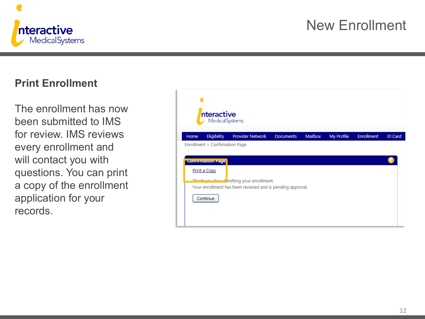

#### **Print Enrollment**

The enrollment has now been submitted to IMS for review. IMS reviews every enrollment and will contact you with questions. You can print a copy of the enrollment application for your records.

|      | nteractive<br><b>Medical Systems</b>                                                   |                                                                                                         |                  |         |                   |                   |                |
|------|----------------------------------------------------------------------------------------|---------------------------------------------------------------------------------------------------------|------------------|---------|-------------------|-------------------|----------------|
| Home | Eligibility                                                                            | <b>Provider Network</b>                                                                                 | <b>Documents</b> | Mailbox | <b>My Profile</b> | <b>Enrollment</b> | <b>ID Card</b> |
|      | Enrollment > Confirmation Page<br><b>Continnation Page</b><br>Print a Copy<br>Continue | Thank you for submitting your enrollment.<br>Your enrollment has been received and is pending approval. |                  |         |                   |                   |                |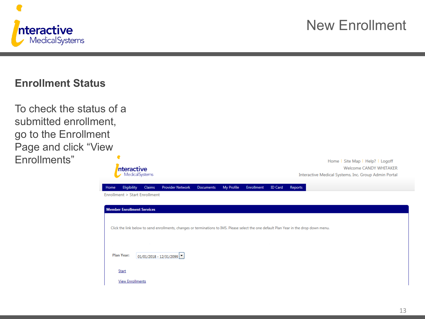

#### **Enrollment Status**

| To check the status of a |                                                                                                                                          |                         |                                |                   |                |         |                                                                                                                           |  |
|--------------------------|------------------------------------------------------------------------------------------------------------------------------------------|-------------------------|--------------------------------|-------------------|----------------|---------|---------------------------------------------------------------------------------------------------------------------------|--|
| submitted enrollment,    |                                                                                                                                          |                         |                                |                   |                |         |                                                                                                                           |  |
| go to the Enrollment     |                                                                                                                                          |                         |                                |                   |                |         |                                                                                                                           |  |
| Page and click "View     |                                                                                                                                          |                         |                                |                   |                |         |                                                                                                                           |  |
| Enrollments"             | nteractive<br><b>Medical Systems</b>                                                                                                     |                         |                                |                   |                |         | Home   Site Map   Help?   Logoff<br><b>Welcome CANDY WHITAKER</b><br>Interactive Medical Systems, Inc. Group Admin Portal |  |
|                          | Eligibility<br>Claims<br><b>Home</b><br>Enrollment > Start Enrollment                                                                    | <b>Provider Network</b> | My Profile<br><b>Documents</b> | <b>Enrollment</b> | <b>ID Card</b> | Reports |                                                                                                                           |  |
|                          |                                                                                                                                          |                         |                                |                   |                |         |                                                                                                                           |  |
|                          | <b>Member Enrollment Services</b>                                                                                                        |                         |                                |                   |                |         |                                                                                                                           |  |
|                          | Click the link below to send enrollments, changes or terminations to IMS. Please select the one default Plan Year in the drop down menu. |                         |                                |                   |                |         |                                                                                                                           |  |
|                          |                                                                                                                                          |                         |                                |                   |                |         |                                                                                                                           |  |
|                          | <b>Plan Year:</b>                                                                                                                        | 01/01/2018 - 12/31/2099 |                                |                   |                |         |                                                                                                                           |  |

Start

**View Enrollments**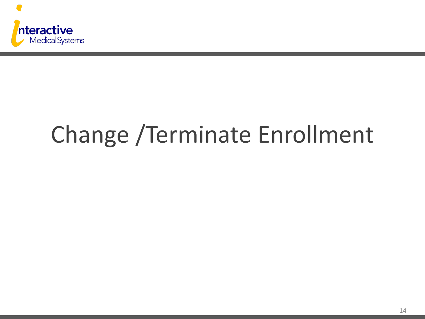

# Change /Terminate Enrollment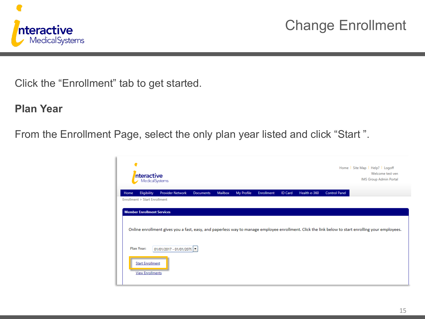

Click the "Enrollment" tab to get started.

**Plan Year**

From the Enrollment Page, select the only plan year listed and click "Start ".

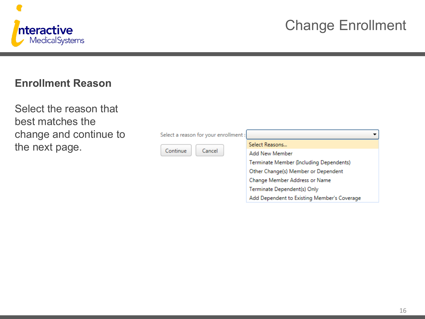

#### **Enrollment Reason**

Select the reason that best matches the change and continue to the next page.

| Select a reason for your enrollment: |                                             |
|--------------------------------------|---------------------------------------------|
|                                      | Select Reasons                              |
| Cancel<br>Continue                   | Add New Member                              |
|                                      | Terminate Member (Including Dependents)     |
|                                      | Other Change(s) Member or Dependent         |
|                                      | Change Member Address or Name               |
|                                      | Terminate Dependent(s) Only                 |
|                                      | Add Dependent to Existing Member's Coverage |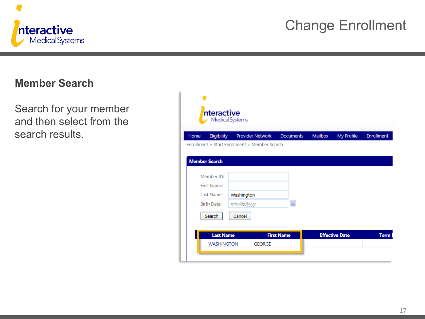

#### **Member Search**

Search for your member and then select from the search results.

|      | nteractive<br>Medical Systems      |                                               |                   |         |                       |                   |
|------|------------------------------------|-----------------------------------------------|-------------------|---------|-----------------------|-------------------|
| Home | Eligibility                        | <b>Provider Network</b>                       | <b>Documents</b>  | Mailbox | My Profile            | <b>Enrollment</b> |
|      |                                    | Enrollment > Start Enrollment > Member Search |                   |         |                       |                   |
|      | <b>Member Search</b><br>Member ID: |                                               |                   |         |                       |                   |
|      | First Name:                        |                                               |                   |         |                       |                   |
|      | Last Name:                         | Washington                                    |                   |         |                       |                   |
|      | <b>Birth Date:</b>                 | mm/dd/yyyy                                    | 團                 |         |                       |                   |
|      | <b>Search</b>                      | Cancel                                        |                   |         |                       |                   |
|      | <b>Last Name</b>                   |                                               | <b>First Name</b> |         | <b>Effective Date</b> | <b>Term</b>       |
|      | <b>WASHINGTON</b>                  | <b>GEORGE</b>                                 |                   |         |                       |                   |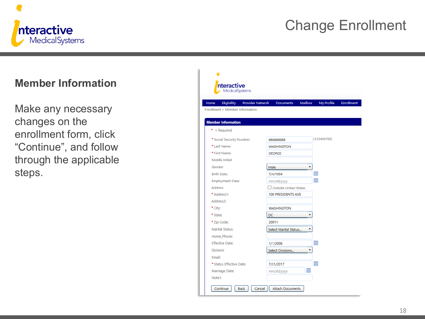

#### **Member Information**

Make any necessary changes on the enrollment form, click "Continue", and follow through the applicable steps.

| Eligibility<br>Provider Network<br>Home |           | <b>Documents</b>      | <b>Mailbox</b> | My Profile  | <b>Enrollment</b> |
|-----------------------------------------|-----------|-----------------------|----------------|-------------|-------------------|
| Enrollment > Member Information         |           |                       |                |             |                   |
| <b>Member Information</b>               |           |                       |                |             |                   |
| $*$ = Required                          |           |                       |                |             |                   |
| * Social Security Number:               |           | 888888886             |                | (123456789) |                   |
| * Last Name:                            |           | <b>WASHINGTON</b>     |                |             |                   |
| * First Name:                           |           | <b>GEORGE</b>         |                |             |                   |
| Middle Initial:                         |           |                       |                |             |                   |
| Gender:                                 | Male      |                       | ▼              |             |                   |
| <b>Birth Date:</b>                      |           | 7/4/1954              |                | 圖           |                   |
| <b>Employment Date:</b>                 |           | mm/dd/yyyy            |                | 前           |                   |
| <b>Address</b>                          |           | Outside United States |                |             |                   |
| * Address1:                             |           | 100 PRESIDENTS AVE    |                |             |                   |
| Address2:                               |           |                       |                |             |                   |
| * City:                                 |           | <b>WASHINGTON</b>     |                |             |                   |
| * State:                                | <b>DC</b> |                       | ▼              |             |                   |
| * Zip Code:                             | 20011     |                       |                |             |                   |
| <b>Marital Status:</b>                  |           | Select Marital Status |                |             |                   |
| Home Phone:                             |           |                       |                |             |                   |
| <b>Effective Date:</b>                  |           | 1/1/2006              |                | ⊞           |                   |
| <b>Division:</b>                        |           | Select Divisions      |                |             |                   |
| Email:                                  |           |                       |                |             |                   |
| * Status Effective Date:                |           | 7/31/2017             |                | 冊           |                   |
| Marriage Date:                          |           | mm/dd/yyyy            | 圃              |             |                   |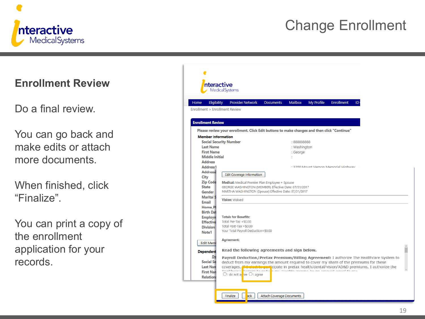

#### **Enrollment Review**

#### Do a final review.

You can go back and make edits or attach more documents.

When finished, click "Finalize".

You can print a copy of the enrollment application for your records.

|                                                                                                                                                                                                        | nteractive<br><b>Medical Systems</b>                                                                                                                                                                                                                                                                                                                                                                                                                                                        |
|--------------------------------------------------------------------------------------------------------------------------------------------------------------------------------------------------------|---------------------------------------------------------------------------------------------------------------------------------------------------------------------------------------------------------------------------------------------------------------------------------------------------------------------------------------------------------------------------------------------------------------------------------------------------------------------------------------------|
| Eligibility<br>Home<br>Enrollment > Enrollment Review<br><b>Enrollment Review</b>                                                                                                                      | <b>Enrollment</b><br><b>Provider Network</b><br><b>Documents</b><br><b>Mailbox</b><br>My Profile<br>ID<br>Please review your enrollment. Click Edit buttons to make changes and then click "Continue"                                                                                                                                                                                                                                                                                       |
| <b>Member Information</b><br><b>Last Name</b><br><b>First Name</b><br><b>Middle Initial</b><br><b>Address</b><br>Address1<br>Address <sub>2</sub><br>City<br><b>Zip Code</b><br><b>State</b><br>Gender | <b>Social Security Number</b><br>: 888888888<br>: Washington<br>: George<br>: 3200 Mount Vernon Memorial Highway<br>Edit Coverage Information<br>Medical: Medical Premier Plan Employee + Spouse<br>GEORGE WASHINGTON (MEMBER) Effective Date: 07/31/2017<br>MARTHA WASHINGTON (Spouse) Effective Date: 07/31/2017                                                                                                                                                                          |
| <b>Marital</b> S<br><b>Email</b><br><b>Home PI</b><br><b>Birth Dat</b><br><b>Employn</b><br><b>Effective</b><br><b>Division</b><br>Note1<br><b>Edit Mem</b>                                            | <b>Vision: Waived</b><br><b>Totals for Benefits:</b><br>Total Pre-Tax = $$0.00$<br>Total Post-Tax = $$0.00$<br>Your Total Payroll Deduction=\$0.00<br>Agreement:                                                                                                                                                                                                                                                                                                                            |
| <b>Dependent</b><br>De<br><b>Social Se</b><br><b>Last Nan</b><br><b>First Nan</b><br><b>Relations</b>                                                                                                  | Read the following agreements and sign below.<br>Payroll Deduction/Pretax Premium/Billing Agreement: I authorize The Healthcare System to<br>deduct from my earnings the amount required to cover my share of the premiums for these<br>coverages. <b>Malgebet the properties</b> cipate in pretax health/dental/vision/AD&D premiums, I authorize the<br>Hoolthones. <b>Tustam to radurative muchanismonal</b> human humanism aqual to mu<br>$\bigcirc$ I do not at ree $\bigcirc$ I agree |
|                                                                                                                                                                                                        | <b>Finalize</b><br>ack<br><b>Attach Coverage Documents</b>                                                                                                                                                                                                                                                                                                                                                                                                                                  |